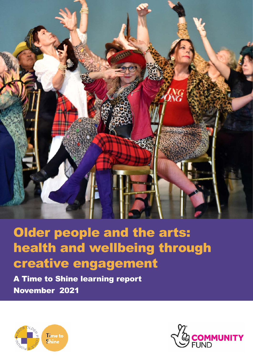

# Older people and the arts: health and wellbeing through creative engagement

A Time to Shine learning report November 2021



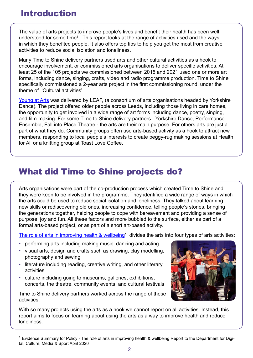### Introduction

The value of arts projects to improve people's lives and benefit their health has been well understood for some time<sup>1</sup>. This report looks at the range of activities used and the ways in which they benefited people. It also offers top tips to help you get the most from creative activities to reduce social isolation and loneliness.

Many Time to Shine delivery partners used arts and other cultural activities as a hook to encourage involvement, or commissioned arts organisations to deliver specific activities. At least 25 of the 105 projects we commissioned between 2015 and 2021 used one or more art forms, including dance, singing, crafts, video and radio programme production. Time to Shine specifically commissioned a 2-year arts project in the first commissioning round, under the theme of 'Cultural activities'.

[Young at Arts](https://yorkshiredance.com/news/looking-back-young-arts/) was delivered by LEAF, (a consortium of arts organisations headed by Yorkshire Dance). The project offered older people across Leeds, including those living in care homes, the opportunity to get involved in a wide range of art forms including dance, poetry, singing, and film-making. For some Time to Shine delivery partners - Yorkshire Dance, Performance Ensemble, Fall into Place Theatre - the arts are their main purpose. For others arts are just a part of what they do. Community groups often use arts-based activity as a hook to attract new members, responding to local people's interests to create peggy-rug making sessions at Health for All or a knitting group at Toast Love Coffee.

# What did Time to Shine projects do?

Arts organisations were part of the co-production process which created Time to Shine and they were keen to be involved in the programme. They identified a wide range of ways in which the arts could be used to reduce social isolation and loneliness. They talked about learning new skills or rediscovering old ones, increasing confidence, telling people's stories, bringing the generations together, helping people to cope with bereavement and providing a sense of purpose, joy and fun. All these factors and more bubbled to the surface, either as part of a formal arts-based project, or as part of a short art-based activity.

The role of arts in improving health & wellbeing<sup>1</sup> divides the arts into four types of arts activities:

- performing arts including making music, dancing and acting
- visual arts, design and crafts such as drawing, clay modelling, photography and sewing
- literature including reading, creative writing, and other literary activities
- culture including going to museums, galleries, exhibitions, concerts, the theatre, community events, and cultural festivals

Time to Shine delivery partners worked across the range of these activities.



With so many projects using the arts as a hook we cannot report on all activities. Instead, this report aims to focus on learning about using the arts as a way to improve health and reduce loneliness.

 $1$  Evidence Summary for Policy - The role of arts in improving health & wellbeing Report to the Department for Digital, Culture, Media & Sport April 2020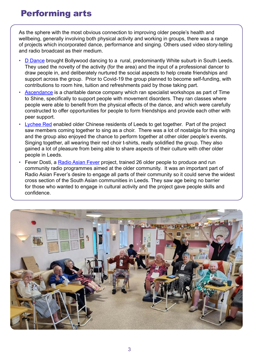### Performing arts

As the sphere with the most obvious connection to improving older people's health and wellbeing, generally involving both physical activity and working in groups, there was a range of projects which incorporated dance, performance and singing. Others used video story-telling and radio broadcast as their medium.

- **[D Dance](https://www.ddancetheatre.co.uk/) brought Bollywood dancing to a rural, predominantly White suburb in South Leeds.** They used the novelty of the activity (for the area) and the input of a professional dancer to draw people in, and deliberately nurtured the social aspects to help create friendships and support across the group. Prior to Covid-19 the group planned to become self-funding, with contributions to room hire, tuition and refreshments paid by those taking part.
- [Ascendance](https://ascendance.org.uk/) is a charitable dance company which ran specialist workshops as part of Time to Shine, specifically to support people with movement disorders. They ran classes where people were able to benefit from the physical effects of the dance, and which were carefully constructed to offer opportunities for people to form friendships and provide each other with peer support.
- [Lychee Red](https://www.facebook.com/LeedsLycheeRed/) enabled older Chinese residents of Leeds to get together. Part of the project saw members coming together to sing as a choir. There was a lot of nostalgia for this singing and the group also enjoyed the chance to perform together at other older people's events. Singing together, all wearing their red choir t-shirts, really solidified the group. They also gained a lot of pleasure from being able to share aspects of their culture with other older people in Leeds.
- Fever Dosti, a [Radio Asian Fever](https://www.radioasianfever.com/) project, trained 26 older people to produce and run community radio programmes aimed at the older community. It was an important part of Radio Asian Fever's desire to engage all parts of their community so it could serve the widest cross section of the South Asian communities in Leeds. They saw age being no barrier for those who wanted to engage in cultural activity and the project gave people skills and confidence.

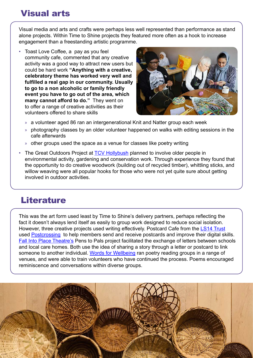# Visual arts

Visual media and arts and crafts were perhaps less well represented than performance as stand alone projects. Within Time to Shine projects they featured more often as a hook to increase engagement than a freestanding artistic programme.

• Toast Love Coffee, a pay as you feel community cafe, commented that any creative activity was a good way to attract new users but could be hard work **"Anything with a creative, celebratory theme has worked very well and fulfilled a real gap in our community. Usually to go to a non alcoholic or family friendly event you have to go out of the area, which many cannot afford to do."** They went on to offer a range of creative activities as their volunteers offered to share skills



- » a volunteer aged 86 ran an intergenerational Knit and Natter group each week
- » photography classes by an older volunteer happened on walks with editing sessions in the cafe afterwards
- » other groups used the space as a venue for classes like poetry writing
- The Great Outdoors Project at [TCV Hollybush](https://www.tcv.org.uk/hollybush/about/) planned to involve older people in environmental activity, gardening and conservation work. Through experience they found that the opportunity to do creative woodwork (building out of recycled timber), whittling sticks, and willow weaving were all popular hooks for those who were not yet quite sure about getting involved in outdoor activities.

#### **Literature**

This was the art form used least by Time to Shine's delivery partners, perhaps reflecting the fact it doesn't always lend itself as easily to group work designed to reduce social isolation. However, three creative projects used writing effectively. Postcard Cafe from the [LS14 Trust](http://www.ls14trust.org/) used [Postcrossing](https://www.postcrossing.com/) to help members send and receive postcards and improve their digital skills. [Fall Into Place Theatre's](https://fallintoplace.co.uk/organisations/care-homes/) Pens to Pals project facilitated the exchange of letters between schools and local care homes. Both use the idea of sharing a story through a letter or postcard to link someone to another individual. [Words for Wellbeing](http://wordsforwellbeing.com/) ran poetry reading groups in a range of venues, and were able to train volunteers who have continued the process. Poems encouraged reminiscence and conversations within diverse groups.

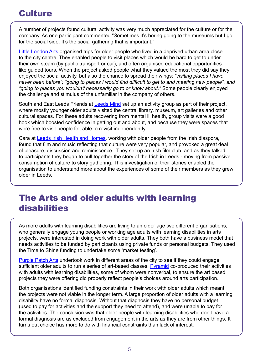## **Culture**

A number of projects found cultural activity was very much appreciated for the culture or for the company. As one participant commented "Sometimes it's boring going to the museums but I go for the social side. It's the social gathering that is important."

[Little London Arts](https://www.littlelondonarts.org.uk/) organised trips for older people who lived in a deprived urban area close to the city centre. They enabled people to visit places which would be hard to get to under their own steam (by public transport or car), and often organised educational opportunities like guided tours. When the project asked people what they valued the most they did say they enjoyed the social activity, but also the chance to spread their wings: *"visiting places I have never been before"; "going to places I would find difficult to get to and meeting new people", and "going to places you wouldn't necessarily go to or know about."* Some people clearly enjoyed the challenge and stimulus of the unfamiliar in the company of others.

South and East Leeds Friends at [Leeds Mind](https://www.leedsmind.org.uk/) set up an activity group as part of their project, where mostly younger older adults visited the central library, museum, art galleries and other cultural spaces. For these adults recovering from mental ill health, group visits were a good hook which boosted confidence in getting out and about, and because they were spaces that were free to visit people felt able to revisit independently.

Cara at [Leeds Irish Health and Homes](https://www.lihh.org/), working with older people from the Irish diaspora, found that film and music reflecting that culture were very popular, and provoked a great deal of pleasure, discussion and reminiscence. They set up an Irish film club, and as they talked to participants they began to pull together the story of the Irish in Leeds - moving from passive consumption of culture to story gathering. This investigation of their stories enabled the organisation to understand more about the experiences of some of their members as they grew older in Leeds.

## The Arts and older adults with learning disabilities

As more adults with learning disabilities are living to an older age two different organisations, who generally engage young people or working age adults with learning disabilities in arts projects, were interested in doing work with older adults. They both have a business model that needs activities to be funded by participants using private funds or personal budgets. They used the Time to Shine funding to undertake some 'market testing'.

[Purple Patch Arts](https://purplepatcharts.org/) undertook work in different areas of the city to see if they could engage sufficient older adults to run a series of art-based classes. [Pyramid](https://pyramid.org.uk/) co-produced their activities with adults with learning disabilities, some of whom were nonverbal, to ensure the art based projects they were offering did properly reflect people's choices around arts participation.

Both organisations identified funding constraints in their work with older adults which meant the projects were not viable in the longer term. A large proportion of older adults with a learning disability have no formal diagnosis. Without that diagnosis they have no personal budget (used to pay for activities and the support they need to attend), and were unable to pay for the activities. The conclusion was that older people with learning disabilities who don't have a formal diagnosis are as excluded from engagement in the arts as they are from other things. It turns out choice has more to do with financial constraints than lack of interest.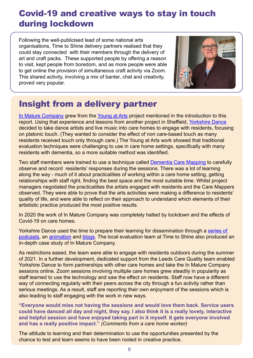# Covid-19 and creative ways to stay in touch during lockdown

Following the well-publicised lead of some national arts organisations, Time to Shine delivery partners realised that they could stay connected with their members through the delivery of art and craft packs. These supported people by offering a reason to visit, kept people from boredom, and as more people were able to get online the provision of simultaneous craft activity via Zoom. This shared activity, involving a mix of banter, chat and creativity, proved very popular.



# Insight from a delivery partner

[In Mature Company](https://yorkshiredance.com/project/in-mature-company/) grew from the [Young at Arts](https://yorkshiredance.com/news/looking-back-young-arts/) project mentioned in the introduction to this report. Using that experience and lessons from another project in Sheffield, [Yorkshire Dance](https://yorkshiredance.com/) decided to take dance artists and live music into care homes to engage with residents, focusing on platonic touch. (They wanted to consider the effect of non care-based touch as many residents received touch only through care.) The Young at Arts work showed that traditional evaluation techniques were challenging to use in care home settings, specifically with many residents with dementia, so a more suitable method was identified.

Two staff members were trained to use a technique called [Dementia Care Mapping](https://yorkshiredance.com/news/looking-back-at-year-1-of-dementia-care-mapping-dcm/) to carefully observe and record residents' responses during the sessions. There was a lot of learning along the way - much of it about practicalities of working within a care home setting, getting relationships with staff right, finding the best space and the most suitable time. Whilst project managers negotiated the practicalities the artists engaged with residents and the Care Mappers observed. They were able to prove that the arts activities were making a difference to residents' quality of life, and were able to reflect on their approach to understand which elements of their artististic practice produced the most positive results.

In 2020 the work of In Mature Company was completely halted by lockdown and the effects of Covid-19 on care homes.

Yorkshire Dance used the time to prepare their learning for dissemination through a [series of](https://yorkshiredance.com/project/yorkshire-dance-presents-dancing-and-dementia-podcasts/)  [podcasts](https://yorkshiredance.com/project/yorkshire-dance-presents-dancing-and-dementia-podcasts/), an [animation](https://yorkshiredance.com/project/dancing-the-small-moments/) and [blogs](https://www.culturehive.co.uk/CVIresources/sharing-learning-yorkshire-dance-in-mature-company/). The local evaluation team at Time to Shine also produced an in-depth case study of In Mature Company.

As restrictions eased, the team were able to engage with residents outdoors during the summer of 2021. In a further development, dedicated support from the Leeds Care Quality team enabled Yorkshire Dance to form partnerships with other care homes and take the In Mature Company sessions online. Zoom sessions involving multiple care homes grew steadily in popularity as staff learned to use the technology and saw the effect on residents. Staff now have a different way of connecting regularly with their peers across the city through a fun activity rather than serious meetings. As a result, staff are reporting their own enjoyment of the sessions which is also leading to staff engaging with the work in new ways.

**"Everyone would miss not having the sessions and would love them back. Service users could have danced all day and night, they say. I also think it is a really lovely, interactive and helpful session and have enjoyed taking part in it myself. It gets everyone involved and has a really positive impact."** *(Comments from a care home worker)*

The attitude to learning and their determination to use the opportunities presented by the chance to test and learn seems to have been rooted in creative practice.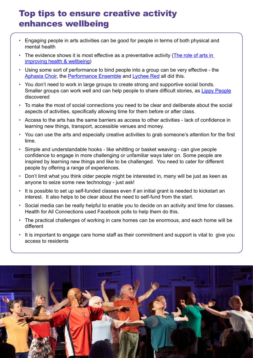# Top tips to ensure creative activity enhances wellbeing

- Engaging people in arts activities can be good for people in terms of both physical and mental health
- The evidence shows it is most effective as a preventative activity (The role of arts in [improving health & wellbeing](https://assets.publishing.service.gov.uk/government/uploads/system/uploads/attachment_data/file/929773/DCMS_report_April_2020_finalx__1_.pdf))
- Using some sort of performance to bind people into a group can be very effective the [Aphasia Choir](https://www.speakwithit.org/2019/11/12/join-our-aphasia-choir-this-christmas/), the [Performance Ensemble](https://theperformanceensemble.com/) and [Lychee Red](https://www.facebook.com/LeedsLycheeRed/) all did this.
- You don't need to work in large groups to create strong and supportive social bonds. Smaller groups can work well and can help people to share difficult stories, as [Lippy People](https://s3-eu-west-1.amazonaws.com/media.timetoshine.co.uk/Life-loss-learning-legacy-learning-from-mens-experiences-of-bereavement%25E2%2580%258B.pdf) discovered
- To make the most of social connections you need to be clear and deliberate about the social aspects of activities, specifically allowing time for them before or after class.
- Access to the arts has the same barriers as access to other activities lack of confidence in learning new things, transport, accessible venues and money.
- You can use the arts and especially creative activities to grab someone's attention for the first time.
- Simple and understandable hooks like whittling or basket weaving can give people confidence to engage in more challenging or unfamiliar ways later on. Some people are inspired by learning new things and like to be challenged. You need to cater for different people by offering a range of experiences.
- Don't limit what you think older people might be interested in, many will be just as keen as anyone to seize some new technology - just ask!
- It is possible to set up self-funded classes even if an initial grant is needed to kickstart an interest. It also helps to be clear about the need to self-fund from the start.
- Social media can be really helpful to enable you to decide on an activity and time for classes. Health for All Connections used Facebook polls to help them do this.
- The practical challenges of working in care homes can be enormous, and each home will be different
- It is important to engage care home staff as their commitment and support is vital to give you access to residents